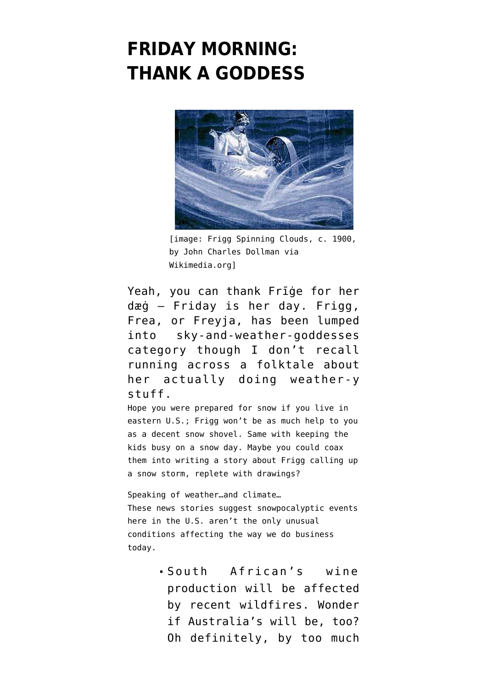## **[FRIDAY MORNING:](https://www.emptywheel.net/2016/01/22/friday-morning-thank-a-goddess/) [THANK A GODDESS](https://www.emptywheel.net/2016/01/22/friday-morning-thank-a-goddess/)**



[image: Frigg Spinning Clouds, c. 1900, by John Charles Dollman via Wikimedia.orgl

Yeah, you can thank Frīge for her dæġ — Friday is her day. Frigg, Frea, or Freyja, has been lumped into sky-and-weather-goddesses category though I don't recall running across a folktale about her actually doing weather-y stuff.

Hope you were prepared for snow if you live in eastern U.S.; Frigg won't be as much help to you as a decent snow shovel. Same with keeping the kids busy on a snow day. Maybe you could coax them into writing a story about Frigg calling up a snow storm, replete with drawings?

Speaking of weather…and climate… These news stories suggest snowpocalyptic events here in the U.S. aren't the only unusual conditions affecting the way we do business today.

> South African's wine production will be [affected](http://www.bloomberg.com/news/articles/2016-01-22/wildfires-destroy-south-african-vineyards-contaminate-grapes) [by recent wildfires.](http://www.bloomberg.com/news/articles/2016-01-22/wildfires-destroy-south-african-vineyards-contaminate-grapes) Wonder if Australia's will be, too? [Oh definitely,](http://www.reuters.com/article/us-australia-wine-climatechange-idUSKCN0US2QU20160114) by too much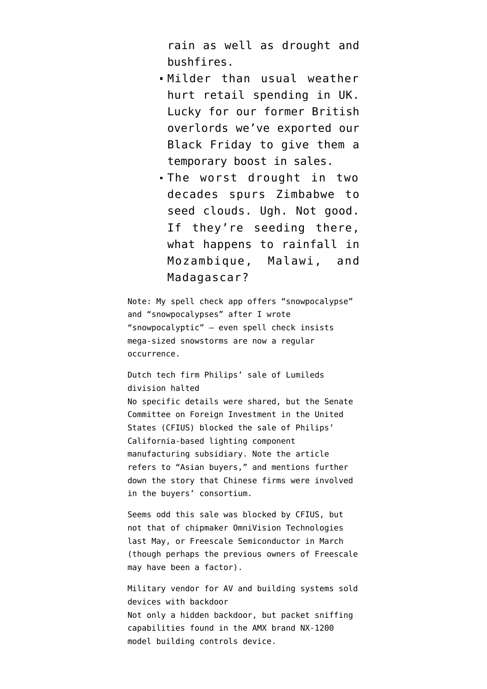rain as well as drought and bushfires.

- Milder than usual weather [hurt retail spending in UK](http://www.bloomberg.com/news/articles/2016-01-22/u-k-retail-sales-plunge-as-mild-weather-curbs-clothes-spending). Lucky for our former British overlords we've exported our Black Friday to give them a temporary boost in sales.
- The worst drought in two decades [spurs Zimbabwe to](http://www.bloomberg.com/news/articles/2016-01-22/zimbabwe-begins-cloud-seeding-to-combat-drought-daily-news-says) [seed clouds.](http://www.bloomberg.com/news/articles/2016-01-22/zimbabwe-begins-cloud-seeding-to-combat-drought-daily-news-says) Ugh. Not good. If they're seeding there, what happens to rainfall in Mozambique, Malawi, and Madagascar?

Note: My spell check app offers "snowpocalypse" and "snowpocalypses" after I wrote "snowpocalyptic" — even spell check insists mega-sized snowstorms are now a regular occurrence.

Dutch tech firm Philips' sale of Lumileds division halted No specific details were shared, but the Senate Committee on Foreign Investment in the United States (CFIUS) [blocked the sale](http://www.reuters.com/article/philips-lumileds-sale-idUSL8N1560FK) of Philips' California-based lighting component manufacturing subsidiary. Note the article refers to "Asian buyers," and mentions further down the story that Chinese firms were involved in the buyers' consortium.

Seems odd this sale was blocked by CFIUS, but not that of chipmaker [OmniVision Technologies](https://recode.net/2015/05/01/omnivision-to-be-bought-by-chinese-investors-in-1-9-billion-deal/) last May, or [Freescale Semiconductor](http://www.mystatesman.com/news/business/austins-freescale-being-sold-in-118-billion-deal/) in March (though perhaps the [previous owners](https://www.pehub.com/2015/03/pe-owners-to-show-tiny-gain-on-freescales-16-7-bln-sale/) of Freescale may have been a factor).

Military vendor for AV and building systems sold devices with backdoor Not only a hidden backdoor, but packet sniffing capabilities [found in the AMX brand NX-1200](http://arstechnica.com/security/2016/01/media-devices-sold-to-feds-have-hidden-backdoor-with-sniffing-functions/) [model building controls device.](http://arstechnica.com/security/2016/01/media-devices-sold-to-feds-have-hidden-backdoor-with-sniffing-functions/)